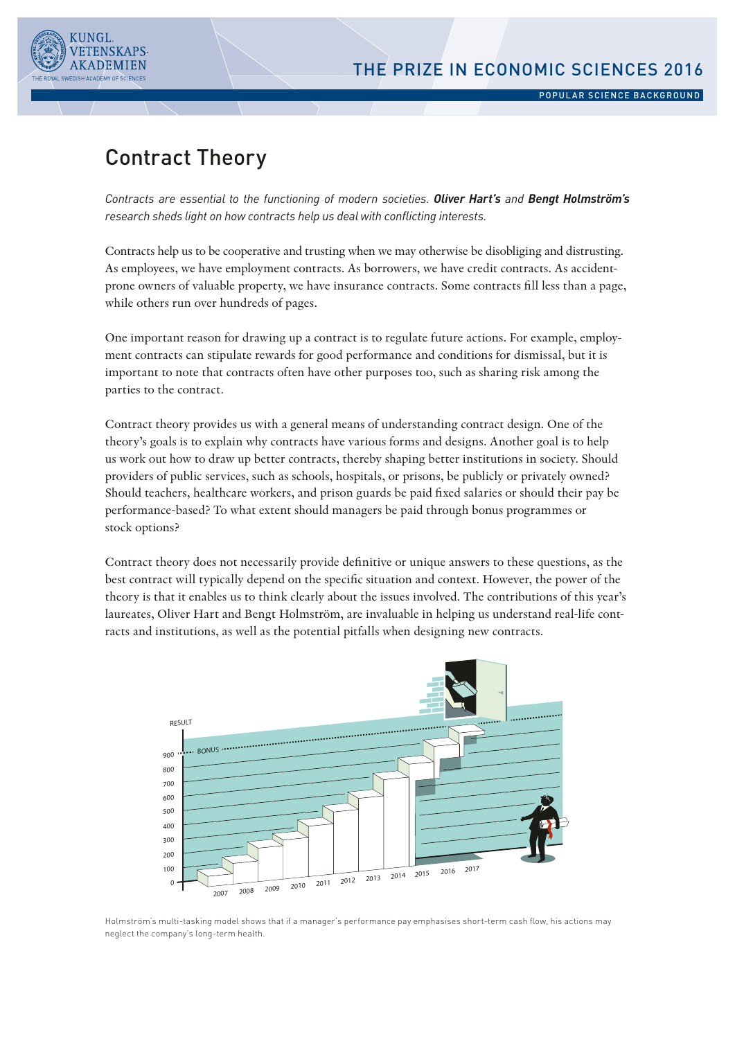



POPULAR SCIENCE BACKGROUND

# Contract Theory

*Contracts are essential to the functioning of modern societies. Oliver Hart's and Bengt Holmström's research sheds light on how contracts help us deal with conficting interests.*

Contracts help us to be cooperative and trusting when we may otherwise be disobliging and distrusting. As employees, we have employment contracts. As borrowers, we have credit contracts. As accidentprone owners of valuable property, we have insurance contracts. Some contracts fll less than a page, while others run over hundreds of pages.

One important reason for drawing up a contract is to regulate future actions. For example, employment contracts can stipulate rewards for good performance and conditions for dismissal, but it is important to note that contracts often have other purposes too, such as sharing risk among the parties to the contract.

Contract theory provides us with a general means of understanding contract design. One of the theory's goals is to explain why contracts have various forms and designs. Another goal is to help us work out how to draw up better contracts, thereby shaping better institutions in society. Should providers of public services, such as schools, hospitals, or prisons, be publicly or privately owned? Should teachers, healthcare workers, and prison guards be paid fxed salaries or should their pay be performance-based? To what extent should managers be paid through bonus programmes or stock options?

Contract theory does not necessarily provide defnitive or unique answers to these questions, as the best contract will typically depend on the specifc situation and context. However, the power of the theory is that it enables us to think clearly about the issues involved. The contributions of this year's laureates, Oliver Hart and Bengt Holmström, are invaluable in helping us understand real-life contracts and institutions, as well as the potential pitfalls when designing new contracts.



.<br>Holmström's multi-tasking model shows that if a manager's performance pay emphasises short-term cash flow, his actions may neglect the company's long-term health.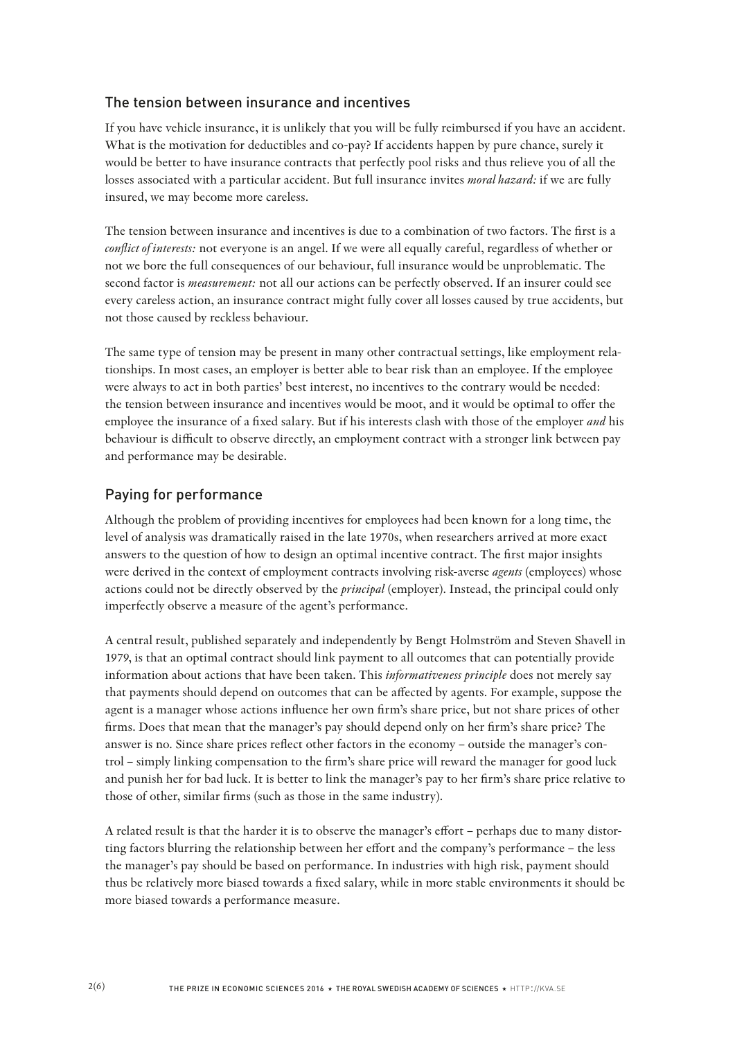## The tension between insurance and incentives

If you have vehicle insurance, it is unlikely that you will be fully reimbursed if you have an accident. What is the motivation for deductibles and co-pay? If accidents happen by pure chance, surely it would be better to have insurance contracts that perfectly pool risks and thus relieve you of all the losses associated with a particular accident. But full insurance invites *moral hazard:* if we are fully insured, we may become more careless.

The tension between insurance and incentives is due to a combination of two factors. The frst is a *confict of interests:* not everyone is an angel. If we were all equally careful, regardless of whether or not we bore the full consequences of our behaviour, full insurance would be unproblematic. The second factor is *measurement:* not all our actions can be perfectly observed. If an insurer could see every careless action, an insurance contract might fully cover all losses caused by true accidents, but not those caused by reckless behaviour.

The same type of tension may be present in many other contractual settings, like employment relationships. In most cases, an employer is better able to bear risk than an employee. If the employee were always to act in both parties' best interest, no incentives to the contrary would be needed: the tension between insurance and incentives would be moot, and it would be optimal to ofer the employee the insurance of a fxed salary. But if his interests clash with those of the employer *and* his behaviour is difficult to observe directly, an employment contract with a stronger link between pay and performance may be desirable.

#### Paying for performance

Although the problem of providing incentives for employees had been known for a long time, the level of analysis was dramatically raised in the late 1970s, when researchers arrived at more exact answers to the question of how to design an optimal incentive contract. The frst major insights were derived in the context of employment contracts involving risk-averse *agents* (employees) whose actions could not be directly observed by the *principal* (employer). Instead, the principal could only imperfectly observe a measure of the agent's performance.

A central result, published separately and independently by Bengt Holmström and Steven Shavell in 1979, is that an optimal contract should link payment to all outcomes that can potentially provide information about actions that have been taken. This *informativeness principle* does not merely say that payments should depend on outcomes that can be afected by agents. For example, suppose the agent is a manager whose actions infuence her own frm's share price, but not share prices of other frms. Does that mean that the manager's pay should depend only on her frm's share price? The answer is no. Since share prices refect other factors in the economy – outside the manager's control – simply linking compensation to the frm's share price will reward the manager for good luck and punish her for bad luck. It is better to link the manager's pay to her frm's share price relative to those of other, similar frms (such as those in the same industry).

A related result is that the harder it is to observe the manager's efort – perhaps due to many distorting factors blurring the relationship between her efort and the company's performance – the less the manager's pay should be based on performance. In industries with high risk, payment should thus be relatively more biased towards a fxed salary, while in more stable environments it should be more biased towards a performance measure.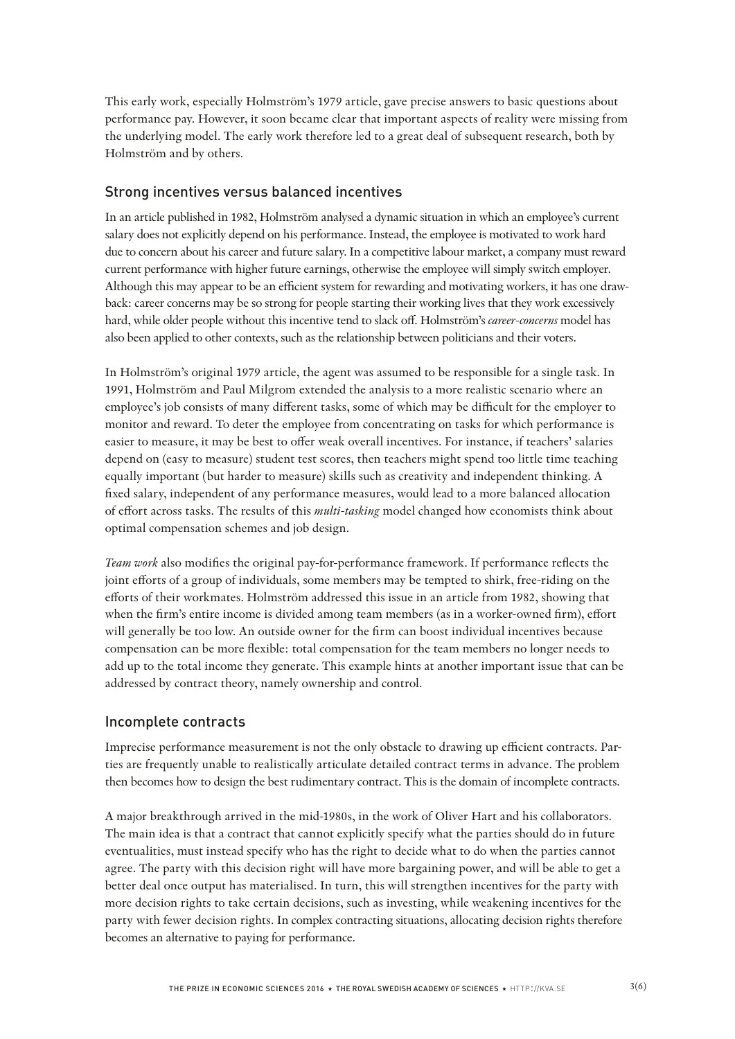This early work, especially Holmström's 1979 article, gave precise answers to basic questions about performance pay. However, it soon became clear that important aspects of reality were missing from the underlying model. The early work therefore led to a great deal of subsequent research, both by Holmström and by others.

## Strong incentives versus balanced incentives

In an article published in 1982, Holmström analysed a dynamic situation in which an employee's current salary does not explicitly depend on his performance. Instead, the employee is motivated to work hard due to concern about his career and future salary. In a competitive labour market, a company must reward current performance with higher future earnings, otherwise the employee will simply switch employer. Although this may appear to be an efficient system for rewarding and motivating workers, it has one drawback: career concerns may be so strong for people starting their working lives that they work excessively hard, while older people without this incentive tend to slack of. Holmström's *career-concerns* model has also been applied to other contexts, such as the relationship between politicians and their voters.

In Holmström's original 1979 article, the agent was assumed to be responsible for a single task. In 1991, Holmström and Paul Milgrom extended the analysis to a more realistic scenario where an employee's job consists of many different tasks, some of which may be difficult for the employer to monitor and reward. To deter the employee from concentrating on tasks for which performance is easier to measure, it may be best to offer weak overall incentives. For instance, if teachers' salaries depend on (easy to measure) student test scores, then teachers might spend too little time teaching equally important (but harder to measure) skills such as creativity and independent thinking. A fxed salary, independent of any performance measures, would lead to a more balanced allocation of efort across tasks. The results of this *multi-tasking* model changed how economists think about optimal compensation schemes and job design.

*Team work* also modifes the original pay-for-performance framework. If performance refects the joint eforts of a group of individuals, some members may be tempted to shirk, free-riding on the eforts of their workmates. Holmström addressed this issue in an article from 1982, showing that when the frm's entire income is divided among team members (as in a worker-owned frm), efort will generally be too low. An outside owner for the frm can boost individual incentives because compensation can be more fexible: total compensation for the team members no longer needs to add up to the total income they generate. This example hints at another important issue that can be addressed by contract theory, namely ownership and control.

## Incomplete contracts

Imprecise performance measurement is not the only obstacle to drawing up efficient contracts. Parties are frequently unable to realistically articulate detailed contract terms in advance. The problem then becomes how to design the best rudimentary contract. This is the domain of incomplete contracts.

A major breakthrough arrived in the mid-1980s, in the work of Oliver Hart and his collaborators. The main idea is that a contract that cannot explicitly specify what the parties should do in future eventualities, must instead specify who has the right to decide what to do when the parties cannot agree. The party with this decision right will have more bargaining power, and will be able to get a better deal once output has materialised. In turn, this will strengthen incentives for the party with more decision rights to take certain decisions, such as investing, while weakening incentives for the party with fewer decision rights. In complex contracting situations, allocating decision rights therefore becomes an alternative to paying for performance.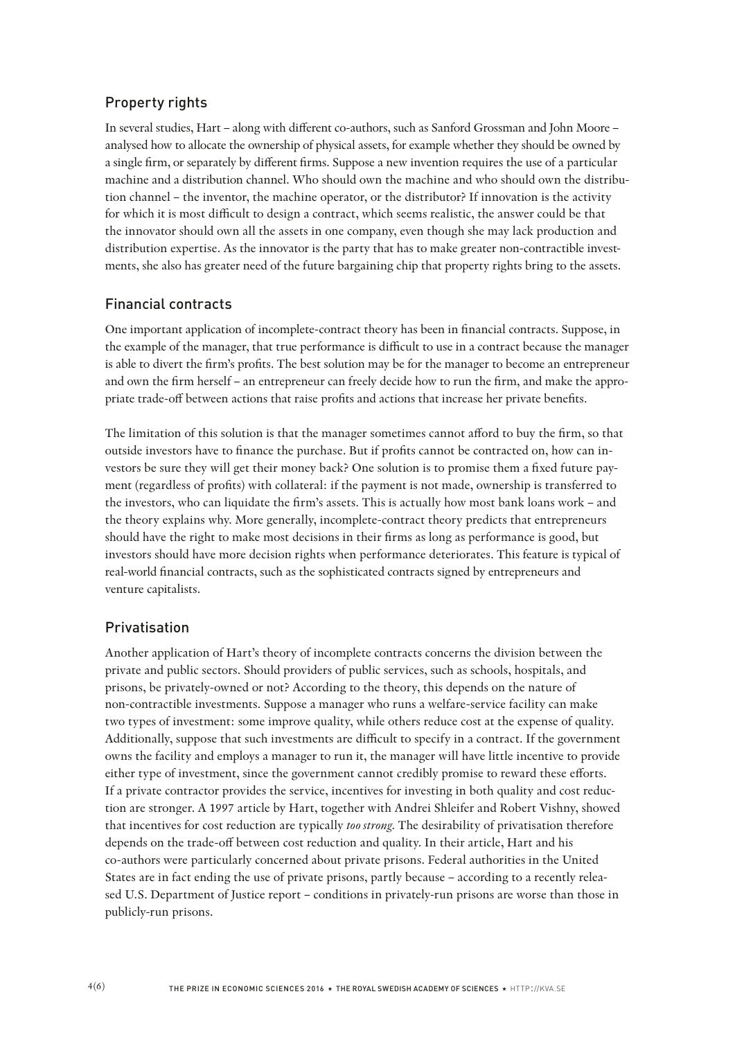# Property rights

In several studies, Hart – along with diferent co-authors, such as Sanford Grossman and John Moore – analysed how to allocate the ownership of physical assets, for example whether they should be owned by a single frm, or separately by diferent frms. Suppose a new invention requires the use of a particular machine and a distribution channel. Who should own the machine and who should own the distribution channel – the inventor, the machine operator, or the distributor? If innovation is the activity for which it is most difficult to design a contract, which seems realistic, the answer could be that the innovator should own all the assets in one company, even though she may lack production and distribution expertise. As the innovator is the party that has to make greater non-contractible investments, she also has greater need of the future bargaining chip that property rights bring to the assets.

## Financial contracts

One important application of incomplete-contract theory has been in fnancial contracts. Suppose, in the example of the manager, that true performance is difficult to use in a contract because the manager is able to divert the frm's profts. The best solution may be for the manager to become an entrepreneur and own the frm herself – an entrepreneur can freely decide how to run the frm, and make the appropriate trade-of between actions that raise profts and actions that increase her private benefts.

The limitation of this solution is that the manager sometimes cannot aford to buy the frm, so that outside investors have to fnance the purchase. But if profts cannot be contracted on, how can investors be sure they will get their money back? One solution is to promise them a fxed future payment (regardless of profts) with collateral: if the payment is not made, ownership is transferred to the investors, who can liquidate the frm's assets. This is actually how most bank loans work – and the theory explains why. More generally, incomplete-contract theory predicts that entrepreneurs should have the right to make most decisions in their frms as long as performance is good, but investors should have more decision rights when performance deteriorates. This feature is typical of real-world fnancial contracts, such as the sophisticated contracts signed by entrepreneurs and venture capitalists.

## Privatisation

Another application of Hart's theory of incomplete contracts concerns the division between the private and public sectors. Should providers of public services, such as schools, hospitals, and prisons, be privately-owned or not? According to the theory, this depends on the nature of non-contractible investments. Suppose a manager who runs a welfare-service facility can make two types of investment: some improve quality, while others reduce cost at the expense of quality. Additionally, suppose that such investments are difficult to specify in a contract. If the government owns the facility and employs a manager to run it, the manager will have little incentive to provide either type of investment, since the government cannot credibly promise to reward these eforts. If a private contractor provides the service, incentives for investing in both quality and cost reduction are stronger. A 1997 article by Hart, together with Andrei Shleifer and Robert Vishny, showed that incentives for cost reduction are typically *too strong*. The desirability of privatisation therefore depends on the trade-of between cost reduction and quality. In their article, Hart and his co-authors were particularly concerned about private prisons. Federal authorities in the United States are in fact ending the use of private prisons, partly because – according to a recently released U.S. Department of Justice report – conditions in privately-run prisons are worse than those in publicly-run prisons.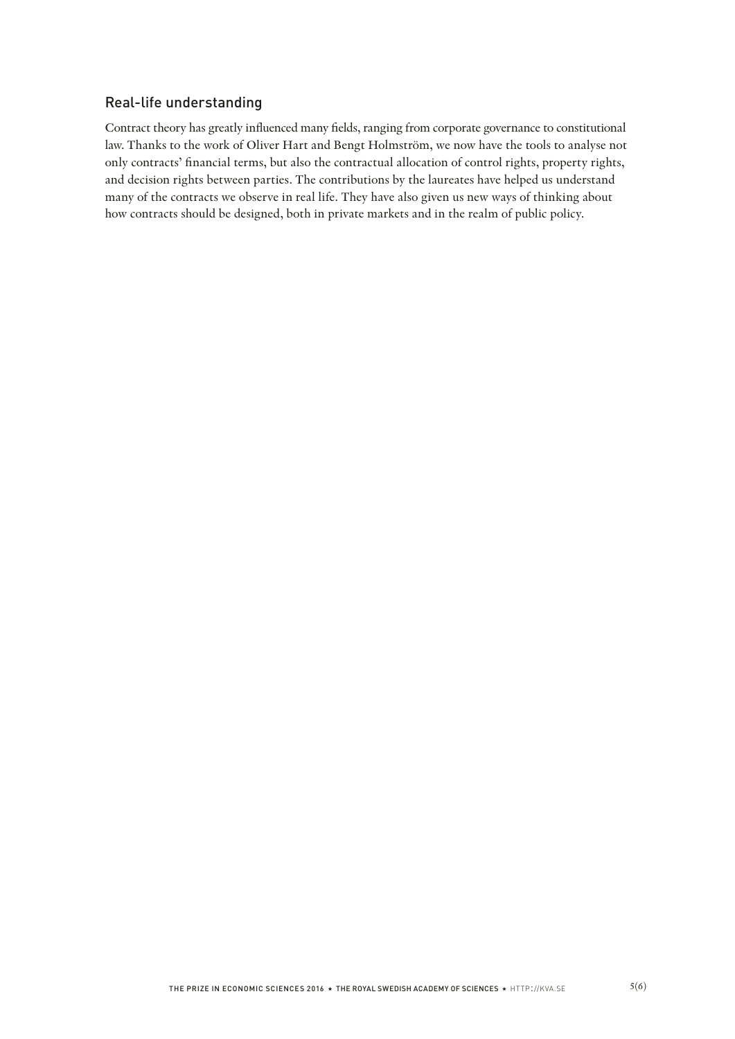# Real-life understanding

Contract theory has greatly infuenced many felds, ranging from corporate governance to constitutional law. Thanks to the work of Oliver Hart and Bengt Holmström, we now have the tools to analyse not only contracts' fnancial terms, but also the contractual allocation of control rights, property rights, and decision rights between parties. The contributions by the laureates have helped us understand many of the contracts we observe in real life. They have also given us new ways of thinking about how contracts should be designed, both in private markets and in the realm of public policy.